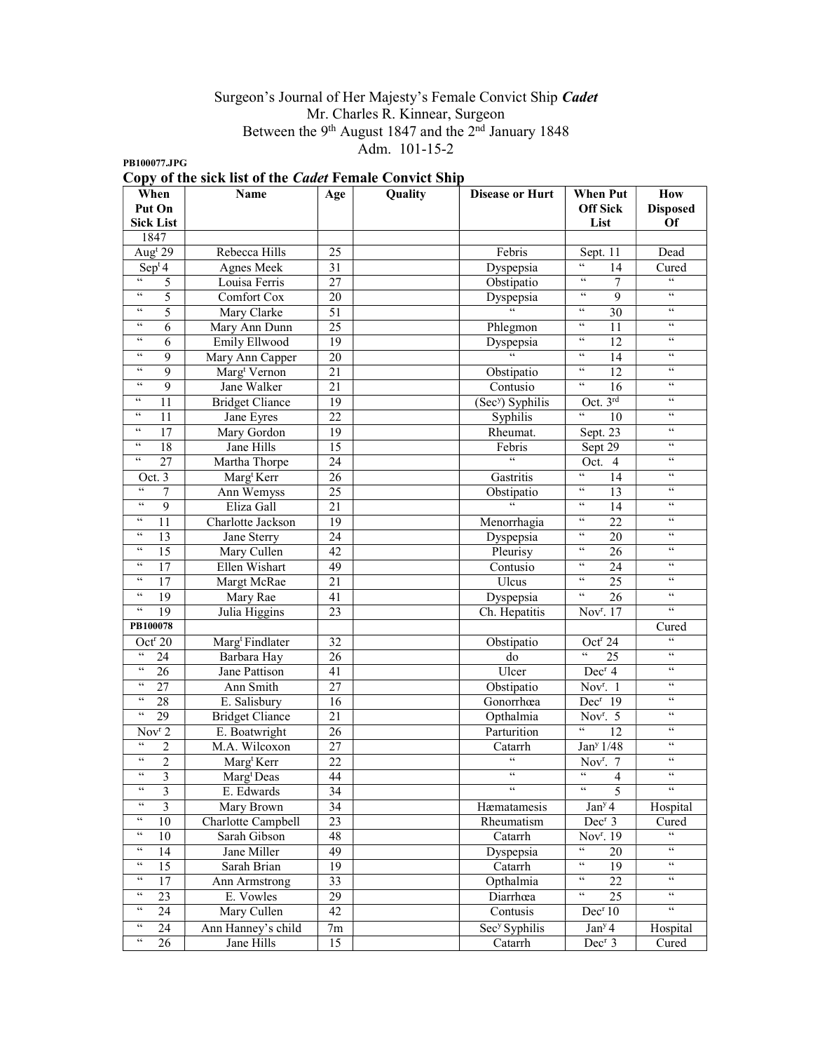## Surgeon's Journal of Her Majesty's Female Convict Ship Cadet Mr. Charles R. Kinnear, Surgeon Between the 9<sup>th</sup> August 1847 and the 2<sup>nd</sup> January 1848 Adm. 101-15-2

PB100077.JPG

Copy of the sick list of the Cadet Female Convict Ship

| When                                                     | Name                        | Age             | Quality | <b>Disease or Hurt</b>                | <b>When Put</b>                                         | How                          |
|----------------------------------------------------------|-----------------------------|-----------------|---------|---------------------------------------|---------------------------------------------------------|------------------------------|
| Put On                                                   |                             |                 |         |                                       | <b>Off Sick</b>                                         | <b>Disposed</b>              |
| <b>Sick List</b>                                         |                             |                 |         |                                       | List                                                    | Of                           |
| 1847                                                     |                             |                 |         |                                       |                                                         |                              |
| Aug <sup>t</sup> 29                                      | Rebecca Hills               | 25              |         | Febris                                | Sept. 11                                                | Dead                         |
| Sep <sup>t</sup> 4                                       | Agnes Meek                  | 31              |         | Dyspepsia                             | $\zeta\,\zeta$<br>14                                    | Cured                        |
| $\epsilon$<br>5                                          | Louisa Ferris               | 27              |         | Obstipatio                            | $\zeta\,\zeta$<br>7                                     | $\overline{\mathbf{G}}$      |
| 5<br>$\zeta\,\zeta$                                      | Comfort Cox                 | 20              |         | Dyspepsia                             | $\zeta\,\zeta$<br>9                                     | $\zeta\,\zeta$               |
| 5<br>$\zeta\,\zeta$                                      | Mary Clarke                 | 51              |         |                                       | $\zeta\,\zeta$<br>30                                    | $\epsilon\,\epsilon$         |
| $\zeta\,\zeta$<br>6                                      | Mary Ann Dunn               | 25              |         | Phlegmon                              | 66<br>11                                                | $\zeta\zeta$                 |
| $\mathfrak{c}\mathfrak{c}$<br>6                          | <b>Emily Ellwood</b>        | 19              |         | Dyspepsia                             | $\mathfrak{c}\mathfrak{c}$<br>12                        | $\zeta\zeta$                 |
| $\zeta\zeta$<br>$\overline{9}$                           | Mary Ann Capper             | 20              |         |                                       | $\mathfrak{c}\mathfrak{c}$<br>14                        | 66                           |
| $\zeta\,\zeta$<br>9                                      | Marg <sup>t</sup> Vernon    | 21              |         | Obstipatio                            | $\mathfrak{c}\mathfrak{c}$<br>12                        | $\zeta\,\zeta$               |
| $\zeta\,\zeta$<br>9                                      | Jane Walker                 | 21              |         | Contusio                              | $\overline{\mathfrak{c}}$<br>16                         | $\zeta\,\zeta$               |
| $\zeta \, \zeta$<br>11                                   | <b>Bridget Cliance</b>      | 19              |         | (Sec <sup>y</sup> ) Syphilis          | Oct. $3rd$                                              | $\zeta\,\zeta$               |
| $\zeta \, \zeta$<br>11                                   | Jane Eyres                  | 22              |         | Syphilis                              | $\zeta\,\zeta$<br>10                                    | $\zeta \, \zeta$             |
| 17<br>$\mathsf{c}\,\mathsf{c}$                           | Mary Gordon                 | 19              |         | Rheumat.                              | Sept. 23                                                | $\zeta\,\zeta$               |
| $\zeta \, \zeta$<br>$\overline{18}$                      | Jane Hills                  | 15              |         | Febris                                | Sept 29                                                 | $\zeta\,\zeta$               |
| $\zeta \, \zeta$<br>$\overline{27}$                      | Martha Thorpe               | 24              |         | $\epsilon\epsilon$                    | $\overline{4}$<br>Oct.                                  | $\zeta \, \zeta$             |
| Oct. 3                                                   | Marg <sup>t</sup> Kerr      | 26              |         | Gastritis                             | $\overline{\mathfrak{c}\mathfrak{c}}$<br>14             | $\zeta \, \zeta$             |
| $\overline{\mathfrak{c}\mathfrak{c}}$<br>7               | Ann Wemyss                  | 25              |         | Obstipatio                            | $\mathfrak{c}\mathfrak{c}$<br>13                        | $\zeta\,\zeta$               |
| $\overline{\mathfrak{c}\mathfrak{c}}$<br>9               | Eliza Gall                  | 21              |         | $\mathfrak{c}\mathfrak{c}$            | $\mathfrak{c}\mathfrak{c}$<br>14                        | $\zeta\,\zeta$               |
| $\zeta\,\zeta$<br>11                                     | Charlotte Jackson           | 19              |         | Menorrhagia                           | $\mathcal{C}\mathcal{C}$<br>22                          | $\zeta\,\zeta$               |
| $\zeta\,\zeta$<br>13                                     | Jane Sterry                 | 24              |         | Dyspepsia                             | $\mathfrak{c}\mathfrak{c}$<br>20                        | $\zeta\,\zeta$               |
| $\epsilon\epsilon$<br>$\overline{15}$                    | Mary Cullen                 | 42              |         | Pleurisy                              | $\epsilon\,\epsilon$<br>$\overline{26}$                 | $\zeta\,\zeta$               |
| $\overline{17}$<br>$\epsilon\epsilon$                    | Ellen Wishart               | 49              |         | Contusio                              | $\zeta\,\zeta$<br>24                                    | $\epsilon\,\epsilon$         |
| $\,$ 6 $\,$<br>17                                        | Margt McRae                 | 21              |         | Ulcus                                 | $\zeta\,\zeta$<br>25                                    | $\zeta\,\zeta$               |
| $\,$ 6 $\,$<br>19                                        | Mary Rae                    | 41              |         | Dyspepsia                             | $\zeta\,\zeta$<br>26                                    | $\zeta\,\zeta$               |
| $\zeta\,\zeta$<br>19                                     | Julia Higgins               | 23              |         | Ch. Hepatitis                         | Nov <sup>r</sup> . 17                                   | $\epsilon\,\epsilon$         |
| PB100078                                                 |                             |                 |         |                                       |                                                         | Cured                        |
| Oct <sup>r</sup> 20                                      | Marg <sup>t</sup> Findlater | 32              |         | Obstipatio                            | Oct <sup>r</sup> 24                                     | $\zeta\,\zeta$               |
| $\mathfrak{c}\mathfrak{c}$<br>24                         | Barbara Hay                 | 26              |         | do                                    | $\zeta\,\zeta$<br>25                                    | $\zeta\,\zeta$               |
| $\zeta\,\zeta$<br>26                                     | Jane Pattison               | 41              |         | Ulcer                                 | Dec <sup>r</sup> 4                                      | $\zeta\,\zeta$               |
| $\mathfrak{c}\mathfrak{c}$<br>27                         | Ann Smith                   | 27              |         | Obstipatio                            | Nov <sup>r</sup> . 1                                    | $\zeta \, \zeta$             |
| $\overline{\mathfrak{c}\mathfrak{c}}$<br>28              | E. Salisbury                | 16              |         | Gonorrhœa                             | Dec <sup>r</sup> 19                                     | $\mathfrak{c}\mathfrak{c}$   |
| $\overline{\mathfrak{c}\mathfrak{c}}$<br>29              | <b>Bridget Cliance</b>      | 21              |         | Opthalmia                             | Nov <sup>r</sup> . $5$                                  | $\mathfrak{c}\mathfrak{c}$   |
| $\overline{\text{Nov}}$ <sup>r</sup> 2                   | E. Boatwright               | $\overline{26}$ |         | Parturition                           | $\mathfrak{c}\mathfrak{c}$<br>$\overline{12}$           | $\zeta\zeta$                 |
| $\mathfrak{c}\mathfrak{c}$<br>$\overline{c}$             | M.A. Wilcoxon               | 27              |         | Catarrh                               | Jan <sup>y</sup> 1/48                                   | $\zeta \, \zeta$             |
| $\overline{\mathfrak{c}\mathfrak{c}}$<br>2               | Marg <sup>t</sup> Kerr      | 22              |         | $\zeta\,\zeta$                        | Nov <sup>r</sup> . $7$                                  | $\zeta \, \zeta$             |
| $\overline{3}$<br>$\epsilon\,\epsilon$                   | Marg <sup>t</sup> Deas      | 44              |         | $\zeta\,\zeta$                        | $\mathfrak{c}\mathfrak{c}$<br>$\overline{4}$            | $\epsilon\,\epsilon$         |
| $\zeta\,\zeta$<br>$\overline{\mathbf{3}}$                | E. Edwards                  | 34              |         | $\overline{\mathfrak{c}\mathfrak{c}}$ | $\overline{\mathfrak{c}\mathfrak{c}}$<br>$\overline{5}$ | $\boldsymbol{\varsigma}$     |
| $\overline{3}$<br>$\zeta\,\zeta$                         | Mary Brown                  | 34              |         | Hæmatamesis                           | Jan <sup>y</sup> 4                                      | Hospital                     |
| $\mathfrak{c}\,\mathfrak{c}$<br>10                       | Charlotte Campbell          | 23              |         | Rheumatism                            | Dec <sup>r</sup> 3                                      | Cured                        |
| $\mathfrak{c}\,\mathfrak{c}$<br>10                       | Sarah Gibson                | 48              |         | Catarrh                               | Nov <sup>r</sup> . 19                                   | $\overline{\mathfrak{c}}$    |
| $\mathfrak{c}\,\mathfrak{c}$<br>14                       | Jane Miller                 | 49              |         | Dyspepsia                             | $\mathfrak{c}\,\mathfrak{c}$<br>20                      | $\zeta\,\zeta$               |
| $\mathfrak{c}\mathfrak{c}$<br>15                         | Sarah Brian                 | 19              |         | Catarrh                               | $\epsilon\,\epsilon$<br>19                              | $\mathfrak{c}\,\mathfrak{c}$ |
| $\zeta\,\zeta$<br>17                                     | Ann Armstrong               | 33              |         | Opthalmia                             | 66<br>22                                                | $\mathcal{C}\mathcal{C}$     |
| $\mathsf{6}\,\mathsf{6}$<br>23                           | E. Vowles                   | 29              |         | Diarrhœa                              | $\epsilon\,\epsilon$<br>25                              | $\zeta\,\zeta$               |
| $\boldsymbol{\varsigma} \, \boldsymbol{\varsigma}$<br>24 | Mary Cullen                 | 42              |         | Contusis                              | Dec <sup>r</sup> 10                                     | $\mathfrak{c}\mathfrak{c}$   |
| $\mathfrak{c}\,\mathfrak{c}$<br>24                       | Ann Hanney's child          | 7m              |         | Sec <sup>y</sup> Syphilis             | Jan <sup>y</sup> 4                                      | Hospital                     |
| $\zeta\,\zeta$<br>26                                     | Jane Hills                  | 15              |         | Catarrh                               | Dec <sup>r</sup> 3                                      | Cured                        |
|                                                          |                             |                 |         |                                       |                                                         |                              |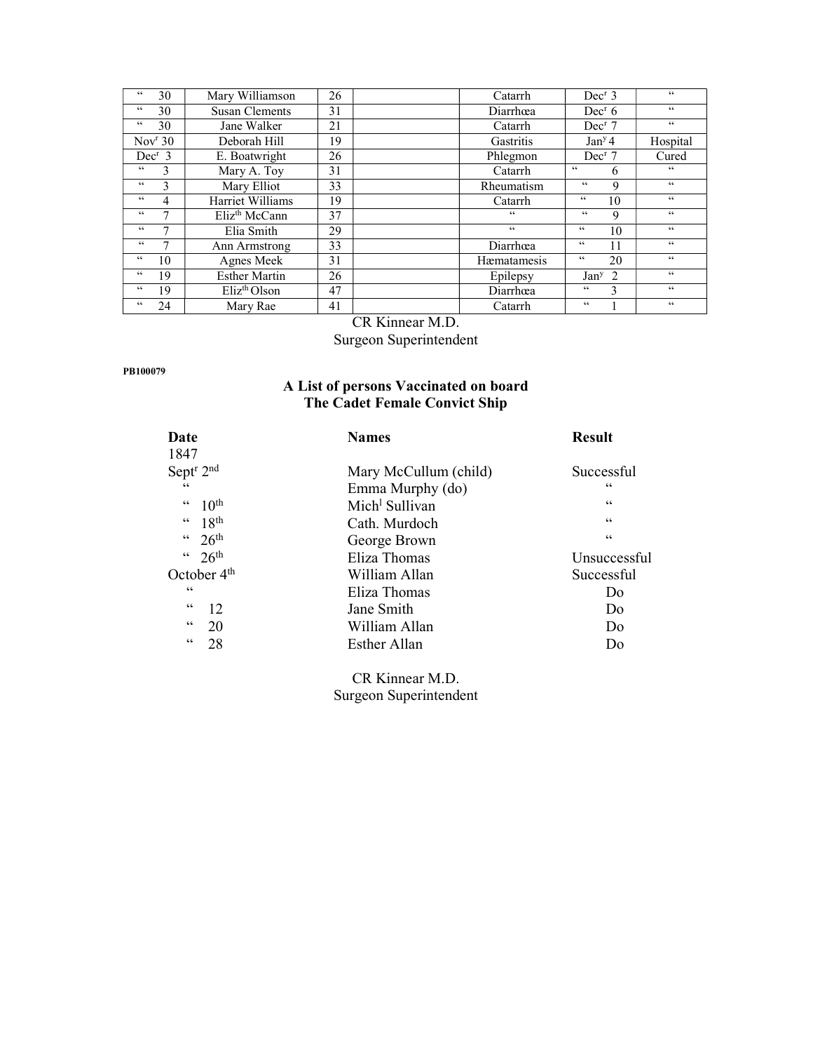| $\zeta\,\zeta$<br>30    | Mary Williamson              | 26 | Catarrh             | $Decr$ 3           |                    | $\zeta\,\zeta$       |
|-------------------------|------------------------------|----|---------------------|--------------------|--------------------|----------------------|
| 66<br>30                | Susan Clements               | 31 | Diarrhœa            |                    | Dec <sup>r</sup> 6 | $\zeta\,\zeta$       |
| 66<br>30                | Jane Walker                  | 21 | Catarrh             | Dec <sup>r</sup> 7 |                    | $\zeta\,\zeta$       |
| Nov <sup>r</sup> 30     | Deborah Hill                 | 19 | Gastritis           |                    | Jan <sup>y</sup> 4 | Hospital             |
| $Decr$ 3                | E. Boatwright                | 26 | Phlegmon            | Dec <sup>r</sup> 7 |                    | Cured                |
| $\epsilon\epsilon$<br>3 | Mary A. Toy                  | 31 | Catarrh             | 66                 | 6                  | $\mbox{G}\,\mbox{G}$ |
| $\zeta\,\zeta$<br>3     | Mary Elliot                  | 33 | Rheumatism          | 66                 | 9                  | $\zeta\,\zeta$       |
| 66<br>4                 | Harriet Williams             | 19 | Catarrh             | 66                 | 10                 | $\zeta\,\zeta$       |
| $\zeta\,\zeta$<br>7     | $E$ liz <sup>th</sup> McCann | 37 | 66                  | 66                 | 9                  | $\zeta\,\zeta$       |
| $\epsilon\epsilon$<br>7 | Elia Smith                   | 29 | 66                  | 66                 | 10                 | $\zeta\,\zeta$       |
| $\epsilon\epsilon$<br>7 | Ann Armstrong                | 33 | Diarrhœa            | 66                 | 11                 | $\zeta\,\zeta$       |
| 66<br>10                | Agnes Meek                   | 31 | <b>H</b> æmatamesis | 66                 | 20                 | $\zeta\,\zeta$       |
| 66<br>19                | <b>Esther Martin</b>         | 26 | Epilepsy            | $Jany$ 2           |                    | $\zeta\,\zeta$       |
| 66<br>19                | $E$ liz <sup>th</sup> Olson  | 47 | Diarrhœa            | 66                 | 3                  | $\zeta\,\zeta$       |
| 66<br>24                | Mary Rae                     | 41 | Catarrh             | 66                 |                    | $\zeta\,\zeta$       |

# CR Kinnear M.D.

Surgeon Superintendent

### PB100079

# A List of persons Vaccinated on board The Cadet Female Convict Ship

| Date                              | <b>Names</b>               | <b>Result</b>            |
|-----------------------------------|----------------------------|--------------------------|
| 1847                              |                            |                          |
| Sept <sup>r</sup> 2 <sup>nd</sup> | Mary McCullum (child)      | Successful               |
| 66                                | Emma Murphy (do)           | $\textsf{G}\,\textsf{G}$ |
| $\cdot \cdot$ 10 <sup>th</sup>    | Mich <sup>1</sup> Sullivan | $\textsf{G}\,\textsf{G}$ |
| $\frac{4}{18}$ th                 | Cath. Murdoch              | 66                       |
| $\cdot \cdot 26$ <sup>th</sup>    | George Brown               | $\textsf{G}\,\textsf{G}$ |
| $\cdot \cdot 26$ <sup>th</sup>    | Eliza Thomas               | Unsuccessful             |
| October 4 <sup>th</sup>           | William Allan              | Successful               |
| $\textsf{G}\,\textsf{G}$          | Eliza Thomas               | Do                       |
| $\epsilon$<br>12                  | Jane Smith                 | Do                       |
| 44<br>20                          | William Allan              | Do                       |
| 66<br>28                          | Esther Allan               | Do                       |
|                                   |                            |                          |

CR Kinnear M.D. Surgeon Superintendent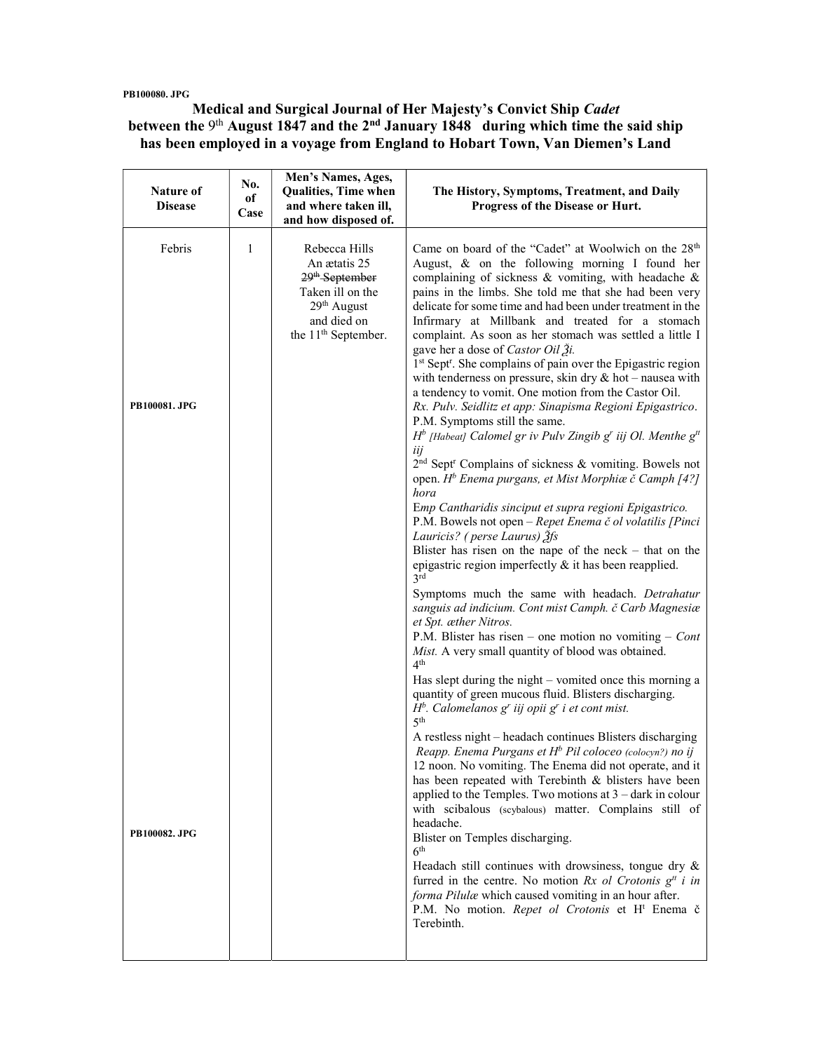#### PB100080. JPG

Medical and Surgical Journal of Her Majesty's Convict Ship Cadet between the  $9<sup>th</sup>$  August 1847 and the  $2<sup>nd</sup>$  January 1848 during which time the said ship has been employed in a voyage from England to Hobart Town, Van Diemen's Land

| Nature of<br><b>Disease</b> | No.<br>of<br>Case | Men's Names, Ages,<br><b>Qualities, Time when</b><br>and where taken ill,<br>and how disposed of.                                                    | The History, Symptoms, Treatment, and Daily<br>Progress of the Disease or Hurt.                                                                                                                                                                                                                                                                                                                                                                                                                                                                                                                                                                                                                                                                                                                                                                                                                                                                                                                                                                                                                                                                                                                                                                                                                                                                                                                                                                                                                                                                                                                                                                                                                                                                                                             |
|-----------------------------|-------------------|------------------------------------------------------------------------------------------------------------------------------------------------------|---------------------------------------------------------------------------------------------------------------------------------------------------------------------------------------------------------------------------------------------------------------------------------------------------------------------------------------------------------------------------------------------------------------------------------------------------------------------------------------------------------------------------------------------------------------------------------------------------------------------------------------------------------------------------------------------------------------------------------------------------------------------------------------------------------------------------------------------------------------------------------------------------------------------------------------------------------------------------------------------------------------------------------------------------------------------------------------------------------------------------------------------------------------------------------------------------------------------------------------------------------------------------------------------------------------------------------------------------------------------------------------------------------------------------------------------------------------------------------------------------------------------------------------------------------------------------------------------------------------------------------------------------------------------------------------------------------------------------------------------------------------------------------------------|
| Febris<br>PB100081. JPG     | 1                 | Rebecca Hills<br>An aetatis 25<br>29 <sup>th</sup> -September<br>Taken ill on the<br>$29th$ August<br>and died on<br>the 11 <sup>th</sup> September. | Came on board of the "Cadet" at Woolwich on the 28 <sup>th</sup><br>August, & on the following morning I found her<br>complaining of sickness $\&$ vomiting, with headache $\&$<br>pains in the limbs. She told me that she had been very<br>delicate for some time and had been under treatment in the<br>Infirmary at Millbank and treated for a stomach<br>complaint. As soon as her stomach was settled a little I<br>gave her a dose of <i>Castor Oil</i> 2 <i>i</i> .<br>1 <sup>st</sup> Sept <sup>r</sup> . She complains of pain over the Epigastric region<br>with tenderness on pressure, skin dry $\&$ hot – nausea with<br>a tendency to vomit. One motion from the Castor Oil.<br>Rx. Pulv. Seidlitz et app: Sinapisma Regioni Epigastrico.<br>P.M. Symptoms still the same.<br>$H^b$ [Habeat] Calomel gr iv Pulv Zingib g' iij Ol. Menthe $g^{tt}$<br>iij<br>2 <sup>nd</sup> Sept <sup>r</sup> Complains of sickness & vomiting. Bowels not<br>open. H <sup>b</sup> Enema purgans, et Mist Morphiæ č Camph [4?]<br>hora<br>Emp Cantharidis sinciput et supra regioni Epigastrico.<br>P.M. Bowels not open - Repet Enema č ol volatilis [Pinci<br>Lauricis? (perse Laurus) 3fs<br>Blister has risen on the nape of the neck $-$ that on the<br>epigastric region imperfectly $\&$ it has been reapplied.<br>3 <sup>rd</sup><br>Symptoms much the same with headach. Detrahatur<br>sanguis ad indicium. Cont mist Camph. č Carb Magnesiæ<br>et Spt. æther Nitros.<br>P.M. Blister has risen – one motion no vomiting – Cont<br>Mist. A very small quantity of blood was obtained.<br>4 <sup>th</sup><br>Has slept during the night – vomited once this morning a<br>quantity of green mucous fluid. Blisters discharging.<br>$H^b$ . Calomelanos g' iij opii g' i et cont mist. |
| PB100082. JPG               |                   |                                                                                                                                                      | 5 <sup>th</sup><br>A restless night - headach continues Blisters discharging<br>Reapp. Enema Purgans et $H^b$ Pil coloceo (colocyn?) no ij<br>12 noon. No vomiting. The Enema did not operate, and it<br>has been repeated with Terebinth & blisters have been<br>applied to the Temples. Two motions at $3 - \text{dark in colour}$<br>with scibalous (scybalous) matter. Complains still of<br>headache.<br>Blister on Temples discharging.<br>6 <sup>th</sup><br>Headach still continues with drowsiness, tongue dry &<br>furred in the centre. No motion Rx ol Crotonis $gtt$ i in<br>forma Pilulæ which caused vomiting in an hour after.<br>P.M. No motion. Repet ol Crotonis et H <sup>t</sup> Enema č<br>Terebinth.                                                                                                                                                                                                                                                                                                                                                                                                                                                                                                                                                                                                                                                                                                                                                                                                                                                                                                                                                                                                                                                                 |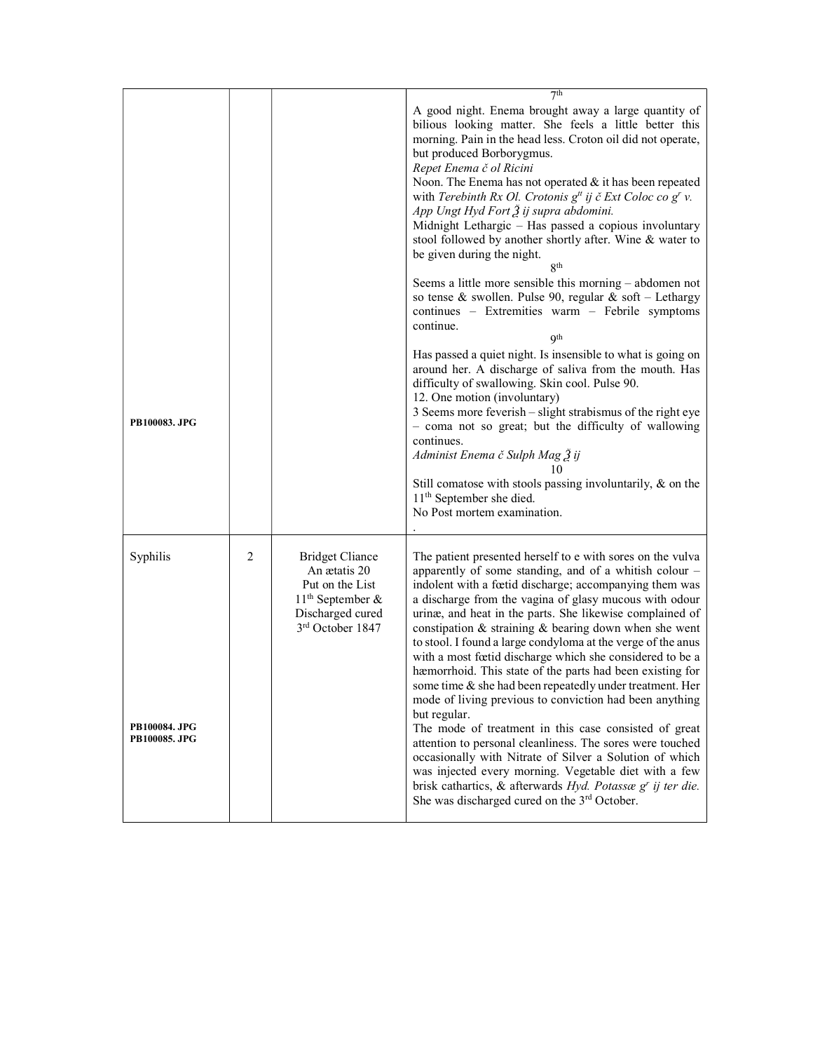|                |                                                                                                                          | 7 <sup>th</sup>                                                                                                                                                                                                                                                                                                                                                                                                                                                                                                                                                                                                                                                                                                                                                                                                                                                                                                                                                                                                                                                                    |
|----------------|--------------------------------------------------------------------------------------------------------------------------|------------------------------------------------------------------------------------------------------------------------------------------------------------------------------------------------------------------------------------------------------------------------------------------------------------------------------------------------------------------------------------------------------------------------------------------------------------------------------------------------------------------------------------------------------------------------------------------------------------------------------------------------------------------------------------------------------------------------------------------------------------------------------------------------------------------------------------------------------------------------------------------------------------------------------------------------------------------------------------------------------------------------------------------------------------------------------------|
|                |                                                                                                                          | A good night. Enema brought away a large quantity of<br>bilious looking matter. She feels a little better this<br>morning. Pain in the head less. Croton oil did not operate,<br>but produced Borborygmus.<br>Repet Enema č ol Ricini<br>Noon. The Enema has not operated & it has been repeated<br>with Terebinth Rx Ol. Crotonis $gtt$ ij č Ext Coloc co $gr$ v.<br>App Ungt Hyd Fort 3 ij supra abdomini.<br>Midnight Lethargic - Has passed a copious involuntary<br>stool followed by another shortly after. Wine & water to<br>be given during the night.<br>8 <sup>th</sup><br>Seems a little more sensible this morning - abdomen not                                                                                                                                                                                                                                                                                                                                                                                                                                      |
|                |                                                                                                                          | so tense & swollen. Pulse 90, regular & soft - Lethargy<br>continues - Extremities warm - Febrile symptoms<br>continue.                                                                                                                                                                                                                                                                                                                                                                                                                                                                                                                                                                                                                                                                                                                                                                                                                                                                                                                                                            |
|                |                                                                                                                          | Qth<br>Has passed a quiet night. Is insensible to what is going on<br>around her. A discharge of saliva from the mouth. Has<br>difficulty of swallowing. Skin cool. Pulse 90.<br>12. One motion (involuntary)<br>3 Seems more feverish – slight strabismus of the right eye<br>- coma not so great; but the difficulty of wallowing<br>continues.<br>Administ Enema č Sulph Mag 2 ij<br>10<br>Still comatose with stools passing involuntarily, $\&$ on the<br>11 <sup>th</sup> September she died.                                                                                                                                                                                                                                                                                                                                                                                                                                                                                                                                                                                |
|                |                                                                                                                          | No Post mortem examination.                                                                                                                                                                                                                                                                                                                                                                                                                                                                                                                                                                                                                                                                                                                                                                                                                                                                                                                                                                                                                                                        |
| $\overline{c}$ | <b>Bridget Cliance</b><br>An aetatis 20<br>Put on the List<br>$11th$ September &<br>Discharged cured<br>3rd October 1847 | The patient presented herself to e with sores on the vulva<br>apparently of some standing, and of a whitish colour -<br>indolent with a fœtid discharge; accompanying them was<br>a discharge from the vagina of glasy mucous with odour<br>urinæ, and heat in the parts. She likewise complained of<br>constipation $\&$ straining $\&$ bearing down when she went<br>to stool. I found a large condyloma at the verge of the anus<br>with a most fœtid discharge which she considered to be a<br>hæmorrhoid. This state of the parts had been existing for<br>some time & she had been repeatedly under treatment. Her<br>mode of living previous to conviction had been anything<br>but regular.<br>The mode of treatment in this case consisted of great<br>attention to personal cleanliness. The sores were touched<br>occasionally with Nitrate of Silver a Solution of which<br>was injected every morning. Vegetable diet with a few<br>brisk cathartics, & afterwards Hyd. Potassæg <sup>r</sup> ij ter die.<br>She was discharged cured on the 3 <sup>rd</sup> October. |
|                |                                                                                                                          |                                                                                                                                                                                                                                                                                                                                                                                                                                                                                                                                                                                                                                                                                                                                                                                                                                                                                                                                                                                                                                                                                    |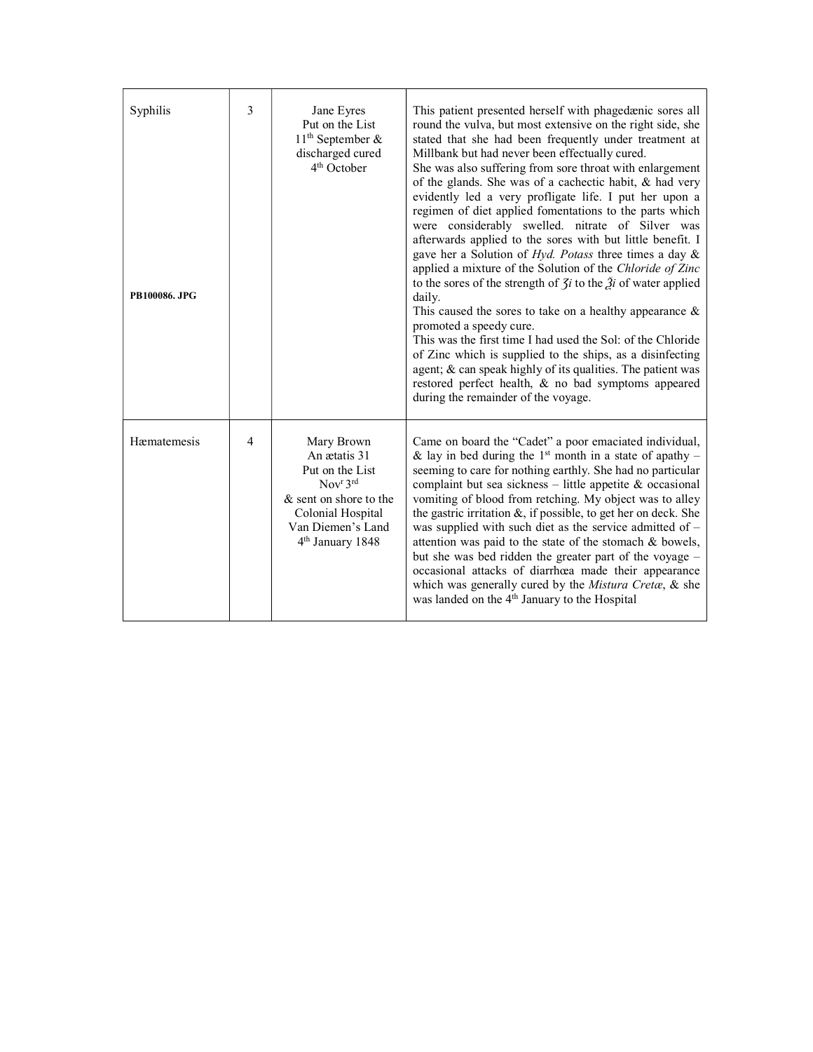| Syphilis<br>PB100086. JPG | 3 | Jane Eyres<br>Put on the List<br>$11th$ September &<br>discharged cured<br>4 <sup>th</sup> October                                                                                     | This patient presented herself with phagedænic sores all<br>round the vulva, but most extensive on the right side, she<br>stated that she had been frequently under treatment at<br>Millbank but had never been effectually cured.<br>She was also suffering from sore throat with enlargement<br>of the glands. She was of a cachectic habit, & had very<br>evidently led a very profligate life. I put her upon a<br>regimen of diet applied fomentations to the parts which<br>were considerably swelled. nitrate of Silver was<br>afterwards applied to the sores with but little benefit. I<br>gave her a Solution of <i>Hyd. Potass</i> three times a day $\&$<br>applied a mixture of the Solution of the Chloride of Zinc<br>to the sores of the strength of $\zeta i$ to the $\zeta i$ of water applied<br>daily.<br>This caused the sores to take on a healthy appearance $\&$<br>promoted a speedy cure.<br>This was the first time I had used the Sol: of the Chloride<br>of Zinc which is supplied to the ships, as a disinfecting<br>agent; & can speak highly of its qualities. The patient was<br>restored perfect health, & no bad symptoms appeared<br>during the remainder of the voyage. |
|---------------------------|---|----------------------------------------------------------------------------------------------------------------------------------------------------------------------------------------|--------------------------------------------------------------------------------------------------------------------------------------------------------------------------------------------------------------------------------------------------------------------------------------------------------------------------------------------------------------------------------------------------------------------------------------------------------------------------------------------------------------------------------------------------------------------------------------------------------------------------------------------------------------------------------------------------------------------------------------------------------------------------------------------------------------------------------------------------------------------------------------------------------------------------------------------------------------------------------------------------------------------------------------------------------------------------------------------------------------------------------------------------------------------------------------------------------------|
| Hæmatemesis               | 4 | Mary Brown<br>An aetatis 31<br>Put on the List<br>Nov <sup>r</sup> 3 <sup>rd</sup><br>& sent on shore to the<br>Colonial Hospital<br>Van Diemen's Land<br>4 <sup>th</sup> January 1848 | Came on board the "Cadet" a poor emaciated individual,<br>& lay in bed during the 1 <sup>st</sup> month in a state of apathy –<br>seeming to care for nothing earthly. She had no particular<br>complaint but sea sickness – little appetite $\&$ occasional<br>vomiting of blood from retching. My object was to alley<br>the gastric irritation $\&$ , if possible, to get her on deck. She<br>was supplied with such diet as the service admitted of $-$<br>attention was paid to the state of the stomach & bowels,<br>but she was bed ridden the greater part of the voyage -<br>occasional attacks of diarrhœa made their appearance<br>which was generally cured by the Mistura Cretæ, & she<br>was landed on the 4 <sup>th</sup> January to the Hospital                                                                                                                                                                                                                                                                                                                                                                                                                                             |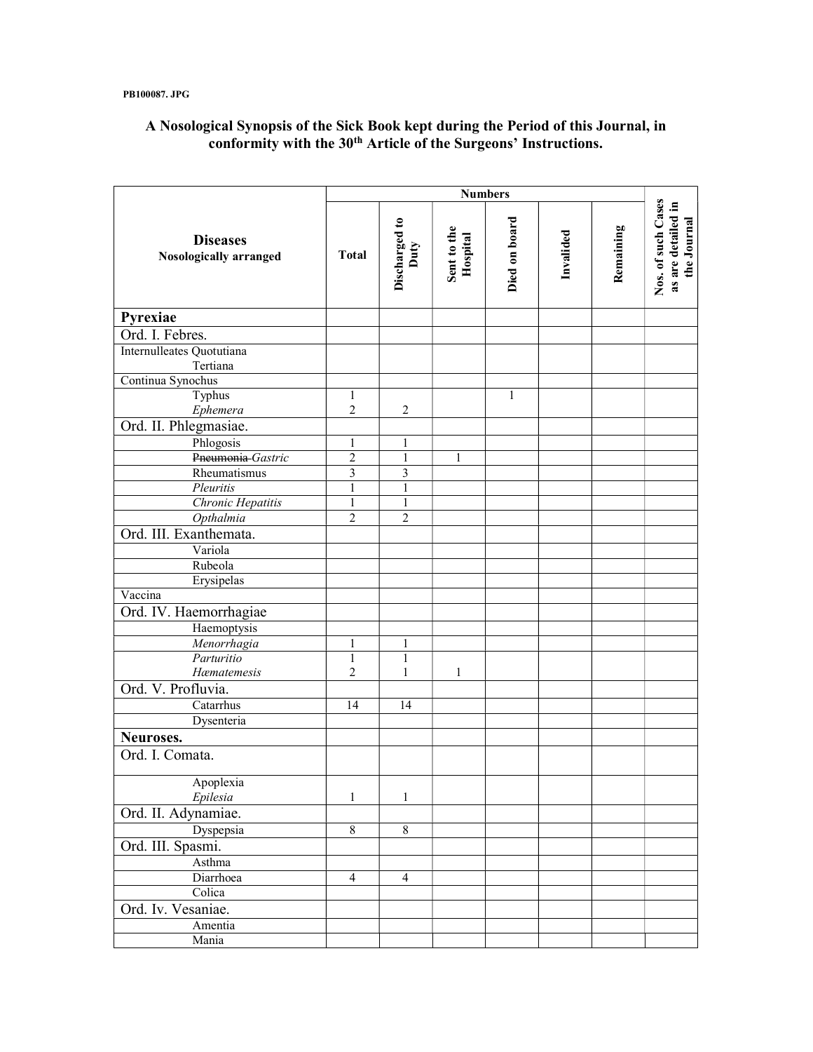|                                           |                         | <b>Numbers</b>          |                         |               |           |           |                                                         |
|-------------------------------------------|-------------------------|-------------------------|-------------------------|---------------|-----------|-----------|---------------------------------------------------------|
| <b>Diseases</b><br>Nosologically arranged | <b>Total</b>            | Discharged to<br>Duty   | Sent to the<br>Hospital | Died on board | Invalided | Remaining | Nos. of such Cases<br>as are detailed in<br>the Journal |
| Pyrexiae                                  |                         |                         |                         |               |           |           |                                                         |
| Ord. I. Febres.                           |                         |                         |                         |               |           |           |                                                         |
| Internulleates Quotutiana                 |                         |                         |                         |               |           |           |                                                         |
| Tertiana                                  |                         |                         |                         |               |           |           |                                                         |
| Continua Synochus                         |                         |                         |                         |               |           |           |                                                         |
| Typhus                                    | $\mathbf{1}$            |                         |                         | $\mathbf{1}$  |           |           |                                                         |
| Ephemera                                  | $\overline{2}$          | $\overline{c}$          |                         |               |           |           |                                                         |
| Ord. II. Phlegmasiae.                     |                         |                         |                         |               |           |           |                                                         |
| Phlogosis                                 | 1                       | 1                       |                         |               |           |           |                                                         |
| Pneumonia Gastric                         | $\overline{c}$          | 1                       | 1                       |               |           |           |                                                         |
| Rheumatismus                              | $\overline{\mathbf{3}}$ | $\overline{\mathbf{3}}$ |                         |               |           |           |                                                         |
| Pleuritis                                 | $\mathbf{1}$            | $\,1$                   |                         |               |           |           |                                                         |
| Chronic Hepatitis                         | $\mathbf{1}$            | $\mathbf{1}$            |                         |               |           |           |                                                         |
| Opthalmia                                 | $\overline{2}$          | $\overline{2}$          |                         |               |           |           |                                                         |
| Ord. III. Exanthemata.                    |                         |                         |                         |               |           |           |                                                         |
| Variola                                   |                         |                         |                         |               |           |           |                                                         |
| Rubeola                                   |                         |                         |                         |               |           |           |                                                         |
| Erysipelas                                |                         |                         |                         |               |           |           |                                                         |
| Vaccina                                   |                         |                         |                         |               |           |           |                                                         |
| Ord. IV. Haemorrhagiae                    |                         |                         |                         |               |           |           |                                                         |
| Haemoptysis                               |                         |                         |                         |               |           |           |                                                         |
| Menorrhagia                               | $\mathbf{1}$            | 1                       |                         |               |           |           |                                                         |
| Parturitio                                | $\mathbf{1}$            | $\mathbf{1}$            |                         |               |           |           |                                                         |
| Hæmatemesis                               | $\overline{c}$          | $\mathbf{1}$            | $\mathbf{1}$            |               |           |           |                                                         |
| Ord. V. Profluvia.                        |                         |                         |                         |               |           |           |                                                         |
| Catarrhus                                 | 14                      | 14                      |                         |               |           |           |                                                         |
| Dysenteria                                |                         |                         |                         |               |           |           |                                                         |
| Neuroses.                                 |                         |                         |                         |               |           |           |                                                         |
| Ord. I. Comata.                           |                         |                         |                         |               |           |           |                                                         |
| Apoplexia                                 |                         |                         |                         |               |           |           |                                                         |
| Epilesia                                  | 1                       | $\mathbf{1}$            |                         |               |           |           |                                                         |
| Ord. II. Adynamiae.                       |                         |                         |                         |               |           |           |                                                         |
| Dyspepsia                                 | $\sqrt{8}$              | $\overline{8}$          |                         |               |           |           |                                                         |
| Ord. III. Spasmi.                         |                         |                         |                         |               |           |           |                                                         |
| Asthma                                    |                         |                         |                         |               |           |           |                                                         |
| Diarrhoea                                 | $\overline{4}$          | $\overline{4}$          |                         |               |           |           |                                                         |
| Colica                                    |                         |                         |                         |               |           |           |                                                         |
| Ord. Iv. Vesaniae.                        |                         |                         |                         |               |           |           |                                                         |
| Amentia                                   |                         |                         |                         |               |           |           |                                                         |
| Mania                                     |                         |                         |                         |               |           |           |                                                         |
|                                           |                         |                         |                         |               |           |           |                                                         |

### A Nosological Synopsis of the Sick Book kept during the Period of this Journal, in conformity with the 30<sup>th</sup> Article of the Surgeons' Instructions.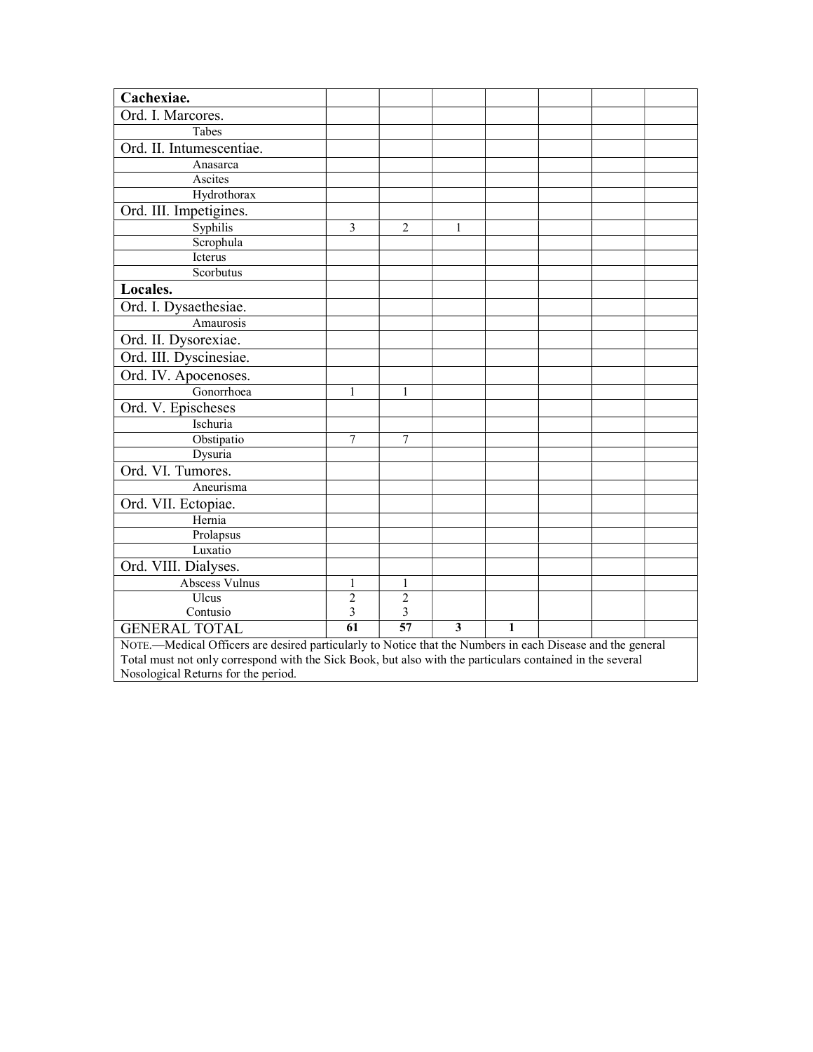| Cachexiae.                                                                                                |                                                                                                            |                |                         |   |  |  |  |  |  |
|-----------------------------------------------------------------------------------------------------------|------------------------------------------------------------------------------------------------------------|----------------|-------------------------|---|--|--|--|--|--|
| Ord. I. Marcores.                                                                                         |                                                                                                            |                |                         |   |  |  |  |  |  |
| Tabes                                                                                                     |                                                                                                            |                |                         |   |  |  |  |  |  |
| Ord. II. Intumescentiae.                                                                                  |                                                                                                            |                |                         |   |  |  |  |  |  |
| Anasarca                                                                                                  |                                                                                                            |                |                         |   |  |  |  |  |  |
| Ascites                                                                                                   |                                                                                                            |                |                         |   |  |  |  |  |  |
| Hydrothorax                                                                                               |                                                                                                            |                |                         |   |  |  |  |  |  |
| Ord. III. Impetigines.                                                                                    |                                                                                                            |                |                         |   |  |  |  |  |  |
| Syphilis                                                                                                  | 3                                                                                                          | $\overline{2}$ | 1                       |   |  |  |  |  |  |
| Scrophula                                                                                                 |                                                                                                            |                |                         |   |  |  |  |  |  |
| Icterus                                                                                                   |                                                                                                            |                |                         |   |  |  |  |  |  |
| Scorbutus                                                                                                 |                                                                                                            |                |                         |   |  |  |  |  |  |
| Locales.                                                                                                  |                                                                                                            |                |                         |   |  |  |  |  |  |
| Ord. I. Dysaethesiae.                                                                                     |                                                                                                            |                |                         |   |  |  |  |  |  |
| Amaurosis                                                                                                 |                                                                                                            |                |                         |   |  |  |  |  |  |
| Ord. II. Dysorexiae.                                                                                      |                                                                                                            |                |                         |   |  |  |  |  |  |
| Ord. III. Dyscinesiae.                                                                                    |                                                                                                            |                |                         |   |  |  |  |  |  |
| Ord. IV. Apocenoses.                                                                                      |                                                                                                            |                |                         |   |  |  |  |  |  |
| Gonorrhoea                                                                                                | 1                                                                                                          | 1              |                         |   |  |  |  |  |  |
| Ord. V. Epischeses                                                                                        |                                                                                                            |                |                         |   |  |  |  |  |  |
| Ischuria                                                                                                  |                                                                                                            |                |                         |   |  |  |  |  |  |
| Obstipatio                                                                                                | 7                                                                                                          | 7              |                         |   |  |  |  |  |  |
| Dysuria                                                                                                   |                                                                                                            |                |                         |   |  |  |  |  |  |
| Ord. VI. Tumores.                                                                                         |                                                                                                            |                |                         |   |  |  |  |  |  |
| Aneurisma                                                                                                 |                                                                                                            |                |                         |   |  |  |  |  |  |
| Ord. VII. Ectopiae.                                                                                       |                                                                                                            |                |                         |   |  |  |  |  |  |
| Hernia                                                                                                    |                                                                                                            |                |                         |   |  |  |  |  |  |
| Prolapsus                                                                                                 |                                                                                                            |                |                         |   |  |  |  |  |  |
| Luxatio                                                                                                   |                                                                                                            |                |                         |   |  |  |  |  |  |
| Ord. VIII. Dialyses.                                                                                      |                                                                                                            |                |                         |   |  |  |  |  |  |
| Abscess Vulnus                                                                                            | 1                                                                                                          | 1              |                         |   |  |  |  |  |  |
| Ulcus                                                                                                     | 2                                                                                                          | $\overline{2}$ |                         |   |  |  |  |  |  |
| Contusio                                                                                                  | 3                                                                                                          | 3              |                         |   |  |  |  |  |  |
| <b>GENERAL TOTAL</b>                                                                                      | 61                                                                                                         | 57             | $\overline{\mathbf{3}}$ | 1 |  |  |  |  |  |
|                                                                                                           | NOTE.—Medical Officers are desired particularly to Notice that the Numbers in each Disease and the general |                |                         |   |  |  |  |  |  |
| Total must not only correspond with the Sick Book, but also with the particulars contained in the several |                                                                                                            |                |                         |   |  |  |  |  |  |
| Nosological Returns for the period.                                                                       |                                                                                                            |                |                         |   |  |  |  |  |  |